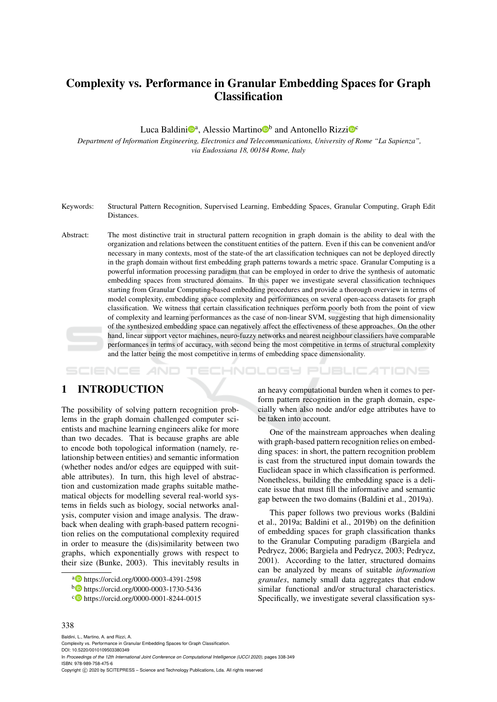# Complexity vs. Performance in Granular Embedding Spaces for Graph **Classification**

Luca Baldini<sup>n</sup>, Alessio Martino<sup>n</sup> and Antonello Rizzi<sup>n</sup><sup>c</sup>

*Department of Information Engineering, Electronics and Telecommunications, University of Rome "La Sapienza", via Eudossiana 18, 00184 Rome, Italy*

- Keywords: Structural Pattern Recognition, Supervised Learning, Embedding Spaces, Granular Computing, Graph Edit Distances.
- Abstract: The most distinctive trait in structural pattern recognition in graph domain is the ability to deal with the organization and relations between the constituent entities of the pattern. Even if this can be convenient and/or necessary in many contexts, most of the state-of the art classification techniques can not be deployed directly in the graph domain without first embedding graph patterns towards a metric space. Granular Computing is a powerful information processing paradigm that can be employed in order to drive the synthesis of automatic embedding spaces from structured domains. In this paper we investigate several classification techniques starting from Granular Computing-based embedding procedures and provide a thorough overview in terms of model complexity, embedding space complexity and performances on several open-access datasets for graph classification. We witness that certain classification techniques perform poorly both from the point of view of complexity and learning performances as the case of non-linear SVM, suggesting that high dimensionality of the synthesized embedding space can negatively affect the effectiveness of these approaches. On the other hand, linear support vector machines, neuro-fuzzy networks and nearest neighbour classifiers have comparable performances in terms of accuracy, with second being the most competitive in terms of structural complexity and the latter being the most competitive in terms of embedding space dimensionality.

HNOL OGY PUBLICATIONS

# 1 INTRODUCTION

The possibility of solving pattern recognition problems in the graph domain challenged computer scientists and machine learning engineers alike for more than two decades. That is because graphs are able to encode both topological information (namely, relationship between entities) and semantic information (whether nodes and/or edges are equipped with suitable attributes). In turn, this high level of abstraction and customization made graphs suitable mathematical objects for modelling several real-world systems in fields such as biology, social networks analysis, computer vision and image analysis. The drawback when dealing with graph-based pattern recognition relies on the computational complexity required in order to measure the (dis)similarity between two graphs, which exponentially grows with respect to their size (Bunke, 2003). This inevitably results in

an heavy computational burden when it comes to perform pattern recognition in the graph domain, especially when also node and/or edge attributes have to be taken into account.

One of the mainstream approaches when dealing with graph-based pattern recognition relies on embedding spaces: in short, the pattern recognition problem is cast from the structured input domain towards the Euclidean space in which classification is performed. Nonetheless, building the embedding space is a delicate issue that must fill the informative and semantic gap between the two domains (Baldini et al., 2019a).

This paper follows two previous works (Baldini et al., 2019a; Baldini et al., 2019b) on the definition of embedding spaces for graph classification thanks to the Granular Computing paradigm (Bargiela and Pedrycz, 2006; Bargiela and Pedrycz, 2003; Pedrycz, 2001). According to the latter, structured domains can be analyzed by means of suitable *information granules*, namely small data aggregates that endow similar functional and/or structural characteristics. Specifically, we investigate several classification sys-

### 338

Baldini, L., Martino, A. and Rizzi, A. Complexity vs. Performance in Granular Embedding Spaces for Graph Classification. DOI: 10.5220/0010109503380349 In *Proceedings of the 12th International Joint Conference on Computational Intelligence (IJCCI 2020)*, pages 338-349 ISBN: 978-989-758-475-6 Copyright © 2020 by SCITEPRESS - Science and Technology Publications, Lda. All rights reserved

<sup>a</sup> https://orcid.org/0000-0003-4391-2598

<sup>b</sup> https://orcid.org/0000-0003-1730-5436

<sup>c</sup> https://orcid.org/0000-0001-8244-0015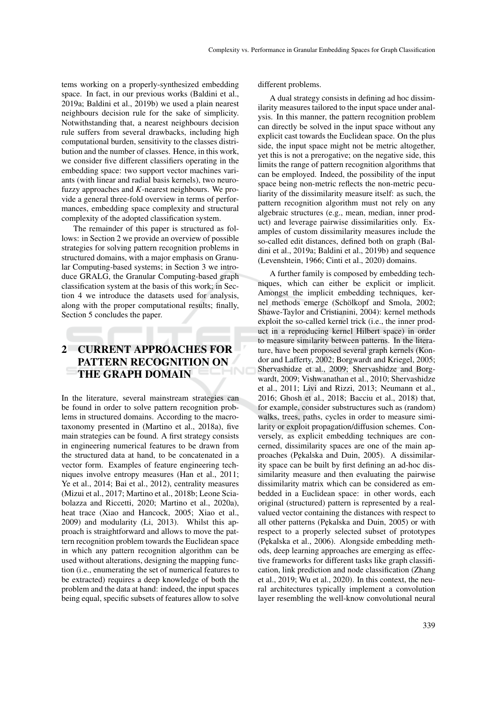tems working on a properly-synthesized embedding space. In fact, in our previous works (Baldini et al., 2019a; Baldini et al., 2019b) we used a plain nearest neighbours decision rule for the sake of simplicity. Notwithstanding that, a nearest neighbours decision rule suffers from several drawbacks, including high computational burden, sensitivity to the classes distribution and the number of classes. Hence, in this work, we consider five different classifiers operating in the embedding space: two support vector machines variants (with linear and radial basis kernels), two neurofuzzy approaches and *K*-nearest neighbours. We provide a general three-fold overview in terms of performances, embedding space complexity and structural complexity of the adopted classification system.

The remainder of this paper is structured as follows: in Section 2 we provide an overview of possible strategies for solving pattern recognition problems in structured domains, with a major emphasis on Granular Computing-based systems; in Section 3 we introduce GRALG, the Granular Computing-based graph classification system at the basis of this work; in Section 4 we introduce the datasets used for analysis, along with the proper computational results; finally, Section 5 concludes the paper.

# 2 CURRENT APPROACHES FOR PATTERN RECOGNITION ON THE GRAPH DOMAIN

In the literature, several mainstream strategies can be found in order to solve pattern recognition problems in structured domains. According to the macrotaxonomy presented in (Martino et al., 2018a), five main strategies can be found. A first strategy consists in engineering numerical features to be drawn from the structured data at hand, to be concatenated in a vector form. Examples of feature engineering techniques involve entropy measures (Han et al., 2011; Ye et al., 2014; Bai et al., 2012), centrality measures (Mizui et al., 2017; Martino et al., 2018b; Leone Sciabolazza and Riccetti, 2020; Martino et al., 2020a), heat trace (Xiao and Hancock, 2005; Xiao et al., 2009) and modularity (Li, 2013). Whilst this approach is straightforward and allows to move the pattern recognition problem towards the Euclidean space in which any pattern recognition algorithm can be used without alterations, designing the mapping function (i.e., enumerating the set of numerical features to be extracted) requires a deep knowledge of both the problem and the data at hand: indeed, the input spaces being equal, specific subsets of features allow to solve

different problems.

A dual strategy consists in defining ad hoc dissimilarity measures tailored to the input space under analysis. In this manner, the pattern recognition problem can directly be solved in the input space without any explicit cast towards the Euclidean space. On the plus side, the input space might not be metric altogether, yet this is not a prerogative; on the negative side, this limits the range of pattern recognition algorithms that can be employed. Indeed, the possibility of the input space being non-metric reflects the non-metric peculiarity of the dissimilarity measure itself: as such, the pattern recognition algorithm must not rely on any algebraic structures (e.g., mean, median, inner product) and leverage pairwise dissimilarities only. Examples of custom dissimilarity measures include the so-called edit distances, defined both on graph (Baldini et al., 2019a; Baldini et al., 2019b) and sequence (Levenshtein, 1966; Cinti et al., 2020) domains.

A further family is composed by embedding techniques, which can either be explicit or implicit. Amongst the implicit embedding techniques, kernel methods emerge (Schölkopf and Smola, 2002; Shawe-Taylor and Cristianini, 2004): kernel methods exploit the so-called kernel trick (i.e., the inner product in a reproducing kernel Hilbert space) in order to measure similarity between patterns. In the literature, have been proposed several graph kernels (Kondor and Lafferty, 2002; Borgwardt and Kriegel, 2005; Shervashidze et al., 2009; Shervashidze and Borgwardt, 2009; Vishwanathan et al., 2010; Shervashidze et al., 2011; Livi and Rizzi, 2013; Neumann et al., 2016; Ghosh et al., 2018; Bacciu et al., 2018) that, for example, consider substructures such as (random) walks, trees, paths, cycles in order to measure similarity or exploit propagation/diffusion schemes. Conversely, as explicit embedding techniques are concerned, dissimilarity spaces are one of the main approaches (Pękalska and Duin, 2005). A dissimilarity space can be built by first defining an ad-hoc dissimilarity measure and then evaluating the pairwise dissimilarity matrix which can be considered as embedded in a Euclidean space: in other words, each original (structured) pattern is represented by a realvalued vector containing the distances with respect to all other patterns (Pękalska and Duin, 2005) or with respect to a properly selected subset of prototypes (Pękalska et al., 2006). Alongside embedding methods, deep learning approaches are emerging as effective frameworks for different tasks like graph classification, link prediction and node classification (Zhang et al., 2019; Wu et al., 2020). In this context, the neural architectures typically implement a convolution layer resembling the well-know convolutional neural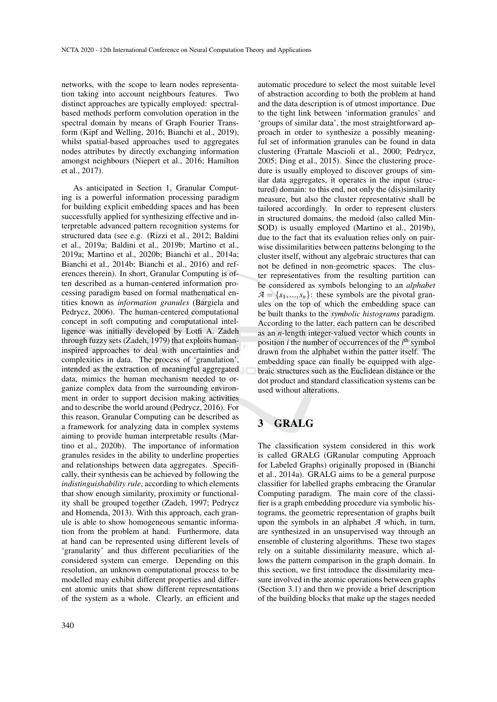networks, with the scope to learn nodes representation taking into account neighbours features. Two distinct approaches are typically employed: spectralbased methods perform convolution operation in the spectral domain by means of Graph Fourier Transform (Kipf and Welling, 2016; Bianchi et al., 2019), whilst spatial-based approaches used to aggregates nodes attributes by directly exchanging information amongst neighbours (Niepert et al., 2016; Hamilton et al., 2017).

As anticipated in Section 1, Granular Computing is a powerful information processing paradigm for building explicit embedding spaces and has been successfully applied for synthesizing effective and interpretable advanced pattern recognition systems for structured data (see e.g. (Rizzi et al., 2012; Baldini et al., 2019a; Baldini et al., 2019b; Martino et al., 2019a; Martino et al., 2020b; Bianchi et al., 2014a; Bianchi et al., 2014b; Bianchi et al., 2016) and references therein). In short, Granular Computing is often described as a human-centered information processing paradigm based on formal mathematical entities known as *information granules* (Bargiela and Pedrycz, 2006). The human-centered computational concept in soft computing and computational intelligence was initially developed by Lotfi A. Zadeh through fuzzy sets (Zadeh, 1979) that exploits humaninspired approaches to deal with uncertainties and complexities in data. The process of 'granulation', intended as the extraction of meaningful aggregated data, mimics the human mechanism needed to organize complex data from the surrounding environment in order to support decision making activities and to describe the world around (Pedrycz, 2016). For this reason, Granular Computing can be described as a framework for analyzing data in complex systems aiming to provide human interpretable results (Martino et al., 2020b). The importance of information granules resides in the ability to underline properties and relationships between data aggregates. Specifically, their synthesis can be achieved by following the *indistinguishability rule*, according to which elements that show enough similarity, proximity or functionality shall be grouped together (Zadeh, 1997; Pedrycz and Homenda, 2013). With this approach, each granule is able to show homogeneous semantic information from the problem at hand. Furthermore, data at hand can be represented using different levels of 'granularity' and thus different peculiarities of the considered system can emerge. Depending on this resolution, an unknown computational process to be modelled may exhibit different properties and different atomic units that show different representations of the system as a whole. Clearly, an efficient and

automatic procedure to select the most suitable level of abstraction according to both the problem at hand and the data description is of utmost importance. Due to the tight link between 'information granules' and 'groups of similar data', the most straightforward approach in order to synthesize a possibly meaningful set of information granules can be found in data clustering (Frattale Mascioli et al., 2000; Pedrycz, 2005; Ding et al., 2015). Since the clustering procedure is usually employed to discover groups of similar data aggregates, it operates in the input (structured) domain: to this end, not only the (dis)similarity measure, but also the cluster representative shall be tailored accordingly. In order to represent clusters in structured domains, the medoid (also called Min-SOD) is usually employed (Martino et al., 2019b), due to the fact that its evaluation relies only on pairwise dissimilarities between patterns belonging to the cluster itself, without any algebraic structures that can not be defined in non-geometric spaces. The cluster representatives from the resulting partition can be considered as symbols belonging to an *alphabet*  $A = \{s_1, ..., s_n\}$ : these symbols are the pivotal granules on the top of which the embedding space can be built thanks to the *symbolic histograms* paradigm. According to the latter, each pattern can be described as an *n*-length integer-valued vector which counts in position *i* the number of occurrences of the *i*<sup>th</sup> symbol drawn from the alphabet within the patter itself. The embedding space can finally be equipped with algebraic structures such as the Euclidean distance or the dot product and standard classification systems can be used without alterations.

# 3 GRALG

The classification system considered in this work is called GRALG (GRanular computing Approach for Labeled Graphs) originally proposed in (Bianchi et al., 2014a). GRALG aims to be a general purpose classifier for labelled graphs embracing the Granular Computing paradigm. The main core of the classifier is a graph embedding procedure via symbolic histograms, the geometric representation of graphs built upon the symbols in an alphabet *A* which, in turn, are synthesized in an unsupervised way through an ensemble of clustering algorithms. These two stages rely on a suitable dissimilarity measure, which allows the pattern comparison in the graph domain. In this section, we first introduce the dissimilarity measure involved in the atomic operations between graphs (Section 3.1) and then we provide a brief description of the building blocks that make up the stages needed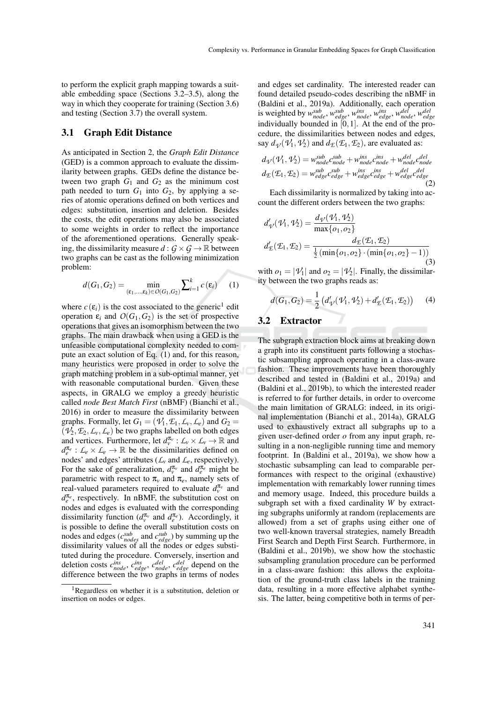to perform the explicit graph mapping towards a suitable embedding space (Sections 3.2–3.5), along the way in which they cooperate for training (Section 3.6) and testing (Section 3.7) the overall system.

## 3.1 Graph Edit Distance

As anticipated in Section 2, the *Graph Edit Distance* (GED) is a common approach to evaluate the dissimilarity between graphs. GEDs define the distance between two graph  $G_1$  and  $G_2$  as the minimum cost path needed to turn  $G_1$  into  $G_2$ , by applying a series of atomic operations defined on both vertices and edges: substitution, insertion and deletion. Besides the costs, the edit operations may also be associated to some weights in order to reflect the importance of the aforementioned operations. Generally speaking, the dissimilarity measure  $d: G \times G \rightarrow \mathbb{R}$  between two graphs can be cast as the following minimization problem:

$$
d(G_1, G_2) = \min_{(\varepsilon_1, ..., \varepsilon_k) \in O(G_1, G_2)} \sum_{i=1}^k c(\varepsilon_i) \qquad (1)
$$

where  $c(\varepsilon_i)$  is the cost associated to the generic<sup>1</sup> edit operation  $\varepsilon_i$  and  $O(G_1, G_2)$  is the set of prospective operations that gives an isomorphism between the two graphs. The main drawback when using a GED is the unfeasible computational complexity needed to compute an exact solution of Eq. (1) and, for this reason, many heuristics were proposed in order to solve the graph matching problem in a sub-optimal manner, yet with reasonable computational burden. Given these aspects, in GRALG we employ a greedy heuristic called *node Best Match First* (nBMF) (Bianchi et al., 2016) in order to measure the dissimilarity between graphs. Formally, let  $G_1 = (\mathcal{V}_1, \mathcal{E}_1, \mathcal{L}_v, \mathcal{L}_e)$  and  $G_2 =$  $(\mathcal{V}_2, \mathcal{F}_2, \mathcal{L}_v, \mathcal{L}_e)$  be two graphs labelled on both edges and vertices. Furthermore, let  $d_v^{\pi_v}$  :  $\mathcal{L}_v \times \mathcal{L}_v \to \mathbb{R}$  and  $d_e^{\pi_e}: L_e \times L_e \rightarrow \mathbb{R}$  be the dissimilarities defined on nodes' and edges' attributes ( $\mathcal{L}_v$  and  $\mathcal{L}_e$ , respectively). For the sake of generalization,  $d_v^{\pi_v}$  and  $d_e^{\pi_e}$  might be parametric with respect to  $\pi$ <sup>*v*</sup> and  $\pi$ <sup>*e*</sup>, namely sets of real-valued parameters required to evaluate  $d_v^{\pi_v}$  and  $d_e^{\pi_e}$ , respectively. In nBMF, the substitution cost on nodes and edges is evaluated with the corresponding dissimilarity function  $(d_v^{\pi_v}$  and  $d_e^{\pi_e}$ ). Accordingly, it is possible to define the overall substitution costs on nodes and edges ( $c_{nodes}^{sub}$  and  $c_{edge}^{sub}$ ) by summing up the dissimilarity values of all the nodes or edges substituted during the procedure. Conversely, insertion and deletion costs  $c_{node}^{ins}$ ,  $c_{edge}^{ins}$ ,  $c_{node}^{del}$ ,  $c_{edge}^{del}$  depend on the difference between the two graphs in terms of nodes

and edges set cardinality. The interested reader can found detailed pseudo-codes describing the nBMF in (Baldini et al., 2019a). Additionally, each operation is weighted by  $w_{node}^{sub}$ ,  $w_{edge}^{sub}$ ,  $w_{node}^{ins}$ ,  $w_{edge}^{b}$ ,  $w_{node}^{del}$ ,  $w_{edge}^{del}$ ,  $w_{edge}^{del}$ <br>individually bounded in [0, 1]. At the end of the procedure, the dissimilarities between nodes and edges, say  $d_{\mathcal{V}}(\mathcal{V}_1, \mathcal{V}_2)$  and  $d_{\mathcal{E}}(\mathcal{E}_1, \mathcal{E}_2)$ , are evaluated as:

$$
d_{\mathcal{V}}(\mathcal{V}_1, \mathcal{V}_2) = w_{node}^{sub} c_{node}^{sub} + w_{node}^{ins} c_{node}^{ins} + w_{node}^{del} c_{node}^{del}
$$
  

$$
d_{\mathcal{L}}(\mathcal{E}_1, \mathcal{E}_2) = w_{edge}^{sub} c_{edge}^{sub} + w_{edge}^{ins} c_{edge}^{ins} + w_{edge}^{del} c_{edge}^{del}
$$
  
(2)

Each dissimilarity is normalized by taking into account the different orders between the two graphs:

$$
d'_{\psi}(\mathcal{V}_1, \mathcal{V}_2) = \frac{d_{\psi}(\mathcal{V}_1, \mathcal{V}_2)}{\max\{o_1, o_2\}} d'_{\mathcal{E}}(\mathcal{E}_1, \mathcal{E}_2) = \frac{d_{\mathcal{E}}(\mathcal{E}_1, \mathcal{E}_2)}{\frac{1}{2}(\min\{o_1, o_2\} \cdot (\min\{o_1, o_2\} - 1))}\n\tag{3}
$$

with  $o_1 = |\mathcal{V}_1|$  and  $o_2 = |\mathcal{V}_2|$ . Finally, the dissimilarity between the two graphs reads as:

$$
d(G_1, G_2) = \frac{1}{2} (d'_{\psi}(\mathcal{V}_1, \mathcal{V}_2) + d'_{\mathcal{I}}(\mathcal{E}_1, \mathcal{E}_2)) \tag{4}
$$

## 3.2 Extractor

The subgraph extraction block aims at breaking down a graph into its constituent parts following a stochastic subsampling approach operating in a class-aware fashion. These improvements have been thoroughly described and tested in (Baldini et al., 2019a) and (Baldini et al., 2019b), to which the interested reader is referred to for further details, in order to overcome the main limitation of GRALG: indeed, in its original implementation (Bianchi et al., 2014a), GRALG used to exhaustively extract all subgraphs up to a given user-defined order *o* from any input graph, resulting in a non-negligible running time and memory footprint. In (Baldini et al., 2019a), we show how a stochastic subsampling can lead to comparable performances with respect to the original (exhaustive) implementation with remarkably lower running times and memory usage. Indeed, this procedure builds a subgraph set with a fixed cardinality *W* by extracting subgraphs uniformly at random (replacements are allowed) from a set of graphs using either one of two well-known traversal strategies, namely Breadth First Search and Depth First Search. Furthermore, in (Baldini et al., 2019b), we show how the stochastic subsampling granulation procedure can be performed in a class-aware fashion: this allows the exploitation of the ground-truth class labels in the training data, resulting in a more effective alphabet synthesis. The latter, being competitive both in terms of per-

<sup>1</sup>Regardless on whether it is a substitution, deletion or insertion on nodes or edges.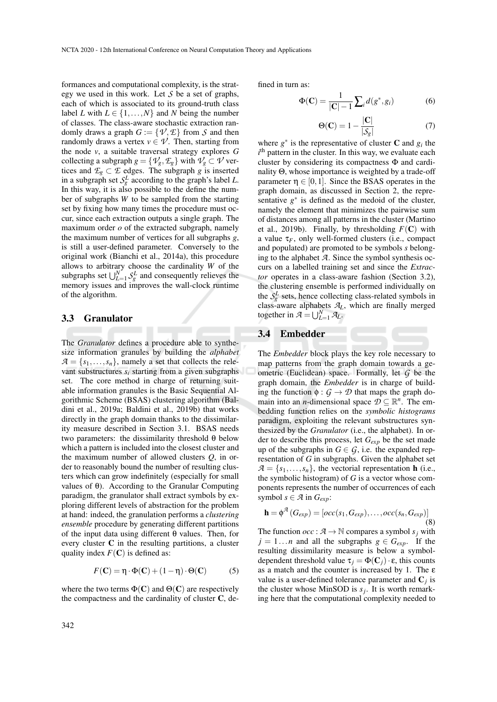formances and computational complexity, is the strategy we used in this work. Let *S* be a set of graphs, each of which is associated to its ground-truth class label *L* with  $L \in \{1, ..., N\}$  and *N* being the number of classes. The class-aware stochastic extraction randomly draws a graph  $G := \{ \mathcal{V}, \mathcal{E} \}$  from *S* and then randomly draws a vertex  $v \in V$ . Then, starting from the node *v*, a suitable traversal strategy explores *G* collecting a subgraph  $g = \{\mathcal{V}_g, \mathcal{E}_g\}$  with  $\mathcal{V}_g \subset \mathcal{V}$  vertices and  $\mathcal{E}_g \subset \mathcal{E}$  edges. The subgraph *g* is inserted in a subgraph set  $S_g^L$  according to the graph's label *L*. In this way, it is also possible to the define the number of subgraphs *W* to be sampled from the starting set by fixing how many times the procedure must occur, since each extraction outputs a single graph. The maximum order *o* of the extracted subgraph, namely the maximum number of vertices for all subgraphs *g*, is still a user-defined parameter. Conversely to the original work (Bianchi et al., 2014a), this procedure allows to arbitrary choose the cardinality *W* of the subgraphs set  $\bigcup_{L=1}^{N} S_g^L$  and consequently relieves the memory issues and improves the wall-clock runtime of the algorithm.

#### 3.3 Granulator

The *Granulator* defines a procedure able to synthesize information granules by building the *alphabet*  $A = \{s_1, \ldots, s_n\}$ , namely a set that collects the relevant substructures *s<sup>i</sup>* starting from a given subgraphs set. The core method in charge of returning suitable information granules is the Basic Sequential Algorithmic Scheme (BSAS) clustering algorithm (Baldini et al., 2019a; Baldini et al., 2019b) that works directly in the graph domain thanks to the dissimilarity measure described in Section 3.1. BSAS needs two parameters: the dissimilarity threshold θ below which a pattern is included into the closest cluster and the maximum number of allowed clusters *Q*, in order to reasonably bound the number of resulting clusters which can grow indefinitely (especially for small values of θ). According to the Granular Computing paradigm, the granulator shall extract symbols by exploring different levels of abstraction for the problem at hand: indeed, the granulation performs a *clustering ensemble* procedure by generating different partitions of the input data using different θ values. Then, for every cluster C in the resulting partitions, a cluster quality index  $F(\mathbf{C})$  is defined as:

$$
F(\mathbf{C}) = \eta \cdot \Phi(\mathbf{C}) + (1 - \eta) \cdot \Theta(\mathbf{C}) \tag{5}
$$

where the two terms  $\Phi(C)$  and  $\Theta(C)$  are respectively the compactness and the cardinality of cluster C, defined in turn as:

$$
\Phi(\mathbf{C}) = \frac{1}{|\mathbf{C}| - 1} \sum_{i} d(g^*, g_i)
$$
 (6)

$$
\Theta(\mathbf{C}) = 1 - \frac{|\mathbf{C}|}{|\mathcal{S}_g|} \tag{7}
$$

where  $g^*$  is the representative of cluster **C** and  $g_i$  the i<sup>th</sup> pattern in the cluster. In this way, we evaluate each cluster by considering its compactness Φ and cardinality Θ, whose importance is weighted by a trade-off parameter  $\eta \in [0,1]$ . Since the BSAS operates in the graph domain, as discussed in Section 2, the representative  $g^*$  is defined as the medoid of the cluster, namely the element that minimizes the pairwise sum of distances among all patterns in the cluster (Martino et al., 2019b). Finally, by thresholding  $F(\mathbf{C})$  with a value  $\tau_F$ , only well-formed clusters (i.e., compact and populated) are promoted to be symbols *s* belonging to the alphabet *A*. Since the symbol synthesis occurs on a labelled training set and since the *Extractor* operates in a class-aware fashion (Section 3.2), the clustering ensemble is performed individually on the  $S_g^L$  sets, hence collecting class-related symbols in class-aware alphabets *AL*, which are finally merged together in  $\mathcal{A} = \bigcup_{L=1}^{N} \mathcal{A}_L$ .

### 3.4 Embedder

The *Embedder* block plays the key role necessary to map patterns from the graph domain towards a geometric (Euclidean) space. Formally, let *G* be the graph domain, the *Embedder* is in charge of building the function  $\phi$  :  $G \rightarrow \mathcal{D}$  that maps the graph domain into an *n*-dimensional space  $\mathcal{D} \subseteq \mathbb{R}^n$ . The embedding function relies on the *symbolic histograms* paradigm, exploiting the relevant substructures synthesized by the *Granulator* (i.e., the alphabet). In order to describe this process, let *Gexp* be the set made up of the subgraphs in  $G \in \mathcal{G}$ , i.e. the expanded representation of *G* in subgraphs. Given the alphabet set  $A = \{s_1, \ldots, s_n\}$ , the vectorial representation **h** (i.e., the symbolic histogram) of *G* is a vector whose components represents the number of occurrences of each symbol  $s \in \mathcal{A}$  in  $G_{exp}$ :

$$
\mathbf{h} = \phi^{\mathcal{A}}(G_{exp}) = [occ(s_1, G_{exp}), \dots, occ(s_n, G_{exp})]
$$
\n(8)

The function  $occ : \mathcal{A} \to \mathbb{N}$  compares a symbol  $s_j$  with  $j = 1...n$  and all the subgraphs  $g \in G_{exp}$ . If the resulting dissimilarity measure is below a symboldependent threshold value  $\tau_i = \Phi(\mathbf{C}_i) \cdot \mathbf{\varepsilon}$ , this counts as a match and the counter is increased by 1. The  $\varepsilon$ value is a user-defined tolerance parameter and  $C_j$  is the cluster whose MinSOD is  $s_j$ . It is worth remarking here that the computational complexity needed to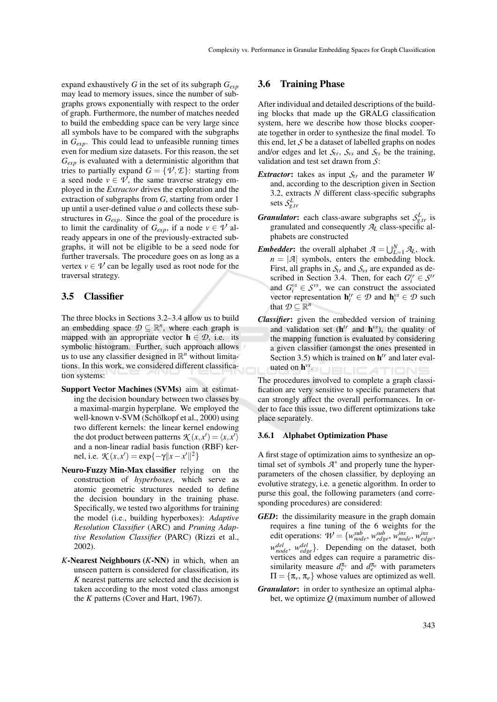expand exhaustively *G* in the set of its subgraph *Gexp* may lead to memory issues, since the number of subgraphs grows exponentially with respect to the order of graph. Furthermore, the number of matches needed to build the embedding space can be very large since all symbols have to be compared with the subgraphs in *Gexp*. This could lead to unfeasible running times even for medium size datasets. For this reason, the set *Gexp* is evaluated with a deterministic algorithm that tries to partially expand  $G = \{ \mathcal{V}, \mathcal{E} \}$ : starting from a seed node  $v \in V$ , the same traverse strategy employed in the *Extractor* drives the exploration and the extraction of subgraphs from *G*, starting from order 1 up until a user-defined value *o* and collects these substructures in *Gexp*. Since the goal of the procedure is to limit the cardinality of  $G_{exp}$ , if a node  $v \in \mathcal{V}$  already appears in one of the previously-extracted subgraphs, it will not be eligible to be a seed node for further traversals. The procedure goes on as long as a vertex  $v \in V$  can be legally used as root node for the traversal strategy.

### 3.5 Classifier

The three blocks in Sections 3.2–3.4 allow us to build an embedding space  $\mathcal{D} \subseteq \mathbb{R}^n$ , where each graph is mapped with an appropriate vector  $h \in \mathcal{D}$ , i.e. its symbolic histogram. Further, such approach allows us to use any classifier designed in  $\mathbb{R}^n$  without limitations. In this work, we considered different classification systems:

- Support Vector Machines (SVMs) aim at estimating the decision boundary between two classes by a maximal-margin hyperplane. We employed the well-known ν-SVM (Schölkopf et al., 2000) using two different kernels: the linear kernel endowing the dot product between patterns  $\mathcal{K}(x, x') = \langle x, x' \rangle$ and a non-linear radial basis function (RBF) kernel, i.e.  $\mathcal{K}(x, x') = \exp\{-\gamma ||x - x'||^2\}$
- Neuro-Fuzzy Min-Max classifier relying on the construction of *hyperboxes*, which serve as atomic geometric structures needed to define the decision boundary in the training phase. Specifically, we tested two algorithms for training the model (i.e., building hyperboxes): *Adaptive Resolution Classifier* (ARC) and *Pruning Adaptive Resolution Classifier* (PARC) (Rizzi et al., 2002).
- *K*-Nearest Neighbours (*K*-NN) in which, when an unseen pattern is considered for classification, its *K* nearest patterns are selected and the decision is taken according to the most voted class amongst the *K* patterns (Cover and Hart, 1967).

## 3.6 Training Phase

After individual and detailed descriptions of the building blocks that made up the GRALG classification system, here we describe how those blocks cooperate together in order to synthesize the final model. To this end, let *S* be a dataset of labelled graphs on nodes and/or edges and let  $S_{tr}$ ,  $S_{vs}$  and  $S_{ts}$  be the training, validation and test set drawn from *S*:

- *Extractor*: takes as input  $S_{tr}$  and the parameter *W* and, according to the description given in Section 3.2, extracts *N* different class-specific subgraphs sets *S L g*,*tr*
- *Granulator*: each class-aware subgraphs set  $S_{g,tr}^L$  is granulated and consequently  $A_L$  class-specific alphabets are constructed
- *Embedder*: the overall alphabet  $A = \bigcup_{L=1}^{N} A_L$ , with  $n = |A|$  symbols, enters the embedding block. First, all graphs in  $S_t$  and  $S_v$  are expanded as described in Section 3.4. Then, for each  $G_i^{tr} \in S^{tr}$ and  $G_i^{vs} \in S^{vs}$ , we can construct the associated vector representation  $\mathbf{h}_i^{tr} \in \mathcal{D}$  and  $\mathbf{h}_i^{vs} \in \mathcal{D}$  such that  $\mathcal{D} \subseteq \mathbb{R}^n$
- *Classifier*: given the embedded version of training and validation set ( $h^{tr}$  and  $h^{vs}$ ), the quality of the mapping function is evaluated by considering a given classifier (amongst the ones presented in Section 3.5) which is trained on  $h^{tr}$  and later evaluated on h *vs* . TIONS

The procedures involved to complete a graph classification are very sensitive to specific parameters that can strongly affect the overall performances. In order to face this issue, two different optimizations take place separately.

#### 3.6.1 Alphabet Optimization Phase

A first stage of optimization aims to synthesize an optimal set of symbols  $A^*$  and properly tune the hyperparameters of the chosen classifier, by deploying an evolutive strategy, i.e. a genetic algorithm. In order to purse this goal, the following parameters (and corresponding procedures) are considered:

- *GED*: the dissimilarity measure in the graph domain requires a fine tuning of the 6 weights for the edit operations:  $W = \{w_{node}^{sub}, w_{edge}^{sub}, w_{node}^{ins}, w_{edge}^{ins}\}$ *w del node*, *w del edge*}. Depending on the dataset, both vertices and edges can require a parametric dissimilarity measure  $d_v^{\pi_v}$  and  $d_e^{\pi_e}$  with parameters  $\Pi = {\pi_v, \pi_e}$  whose values are optimized as well.
- *Granulator*: in order to synthesize an optimal alphabet, we optimize *Q* (maximum number of allowed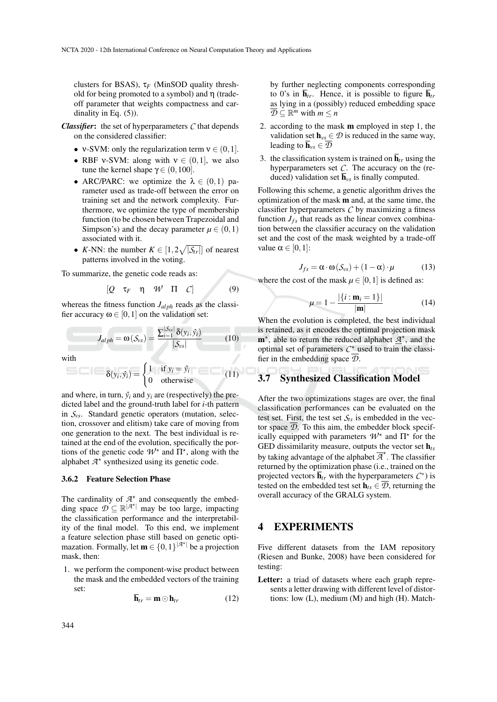clusters for BSAS), τ*<sup>F</sup>* (MinSOD quality threshold for being promoted to a symbol) and  $\eta$  (tradeoff parameter that weights compactness and cardinality in Eq.  $(5)$ ).

- *Classifier*: the set of hyperparameters *C* that depends on the considered classifier:
	- v-SVM: only the regularization term  $v \in (0,1]$ .
	- RBF v-SVM: along with  $v \in (0,1]$ , we also tune the kernel shape  $\gamma \in (0, 100]$ .
	- ARC/PARC: we optimize the  $\lambda \in (0,1)$  parameter used as trade-off between the error on training set and the network complexity. Furthermore, we optimize the type of membership function (to be chosen between Trapezoidal and Simpson's) and the decay parameter  $\mu \in (0,1)$ associated with it.
	- *K*-NN: the number  $K \in [1, 2\sqrt{|\mathcal{S}_{tr}|}]$  of nearest patterns involved in the voting.

To summarize, the genetic code reads as:

$$
[Q \quad \tau_F \quad \eta \quad W \quad \Pi \quad C] \tag{9}
$$

whereas the fitness function *J*<sub>*alph*</sub> reads as the classifier accuracy  $\omega \in [0,1]$  on the validation set:

$$
J_{alph} = \omega(S_{vs}) = \frac{\sum_{i=1}^{|\mathcal{S}_{vs}|} \delta(y_i, \hat{y}_i)}{|\mathcal{S}_{vs}|}
$$
(10)

with

$$
\delta(y_i, \hat{y}_i) = \begin{cases} 1 & \text{if } y_i = \hat{y}_i \\ 0 & \text{otherwise} \end{cases}
$$
 (11)

and where, in turn,  $\hat{y}_i$  and  $y_i$  are (respectively) the predicted label and the ground-truth label for *i*-th pattern in *Svs*. Standard genetic operators (mutation, selection, crossover and elitism) take care of moving from one generation to the next. The best individual is retained at the end of the evolution, specifically the portions of the genetic code  $W^*$  and  $\Pi^*$ , along with the alphabet  $A^*$  synthesized using its genetic code.

#### 3.6.2 Feature Selection Phase

The cardinality of  $A^*$  and consequently the embedding space  $\mathcal{D} \subseteq \mathbb{R}^{|\mathcal{A}^{\star}|}$  may be too large, impacting the classification performance and the interpretability of the final model. To this end, we implement a feature selection phase still based on genetic optimazation. Formally, let  $\mathbf{m} \in \{0,1\}^{|\mathcal{A}^{\star}|}$  be a projection mask, then:

1. we perform the component-wise product between the mask and the embedded vectors of the training set:

$$
\overline{\mathbf{h}}_{tr} = \mathbf{m} \odot \mathbf{h}_{tr} \tag{12}
$$

by further neglecting components corresponding to 0's in  $\overline{\mathbf{h}}_{tr}$ . Hence, it is possible to figure  $\overline{\mathbf{h}}_{tr}$ as lying in a (possibly) reduced embedding space  $\overline{\mathcal{D}} \subseteq \mathbb{R}^m$  with  $m \leq n$ 

- 2. according to the mask m employed in step 1, the validation set  $h_{vs} \in \mathcal{D}$  is reduced in the same way, leading to  $\overline{\mathbf{h}}_{vs} \in \mathcal{D}$
- 3. the classification system is trained on  $\overline{\mathbf{h}}_{tr}$  using the hyperparameters set *C*. The accuracy on the (reduced) validation set  $\overline{\mathbf{h}}_{\nu s}$  is finally computed.

Following this scheme, a genetic algorithm drives the optimization of the mask m and, at the same time, the classifier hyperparameters *C* by maximizing a fitness function  $J_{fs}$  that reads as the linear convex combination between the classifier accuracy on the validation set and the cost of the mask weighted by a trade-off value  $\alpha \in [0,1]$ :

$$
J_{fs} = \alpha \cdot \omega(S_{vs}) + (1 - \alpha) \cdot \mu \tag{13}
$$

where the cost of the mask  $\mu \in [0,1]$  is defined as:

$$
\mu = 1 - \frac{|\{i : \mathbf{m}_i = 1\}|}{|\mathbf{m}|}
$$
 (14)

When the evolution is completed, the best individual is retained, as it encodes the optimal projection mask  $\mathbf{m}^*$ , able to return the reduced alphabet  $\underline{\mathcal{A}}^*$ , and the optimal set of parameters  $C^*$  used to train the classifier in the embedding space  $\overline{D}$ .

# 3.7 Synthesized Classification Model

After the two optimizations stages are over, the final classification performances can be evaluated on the test set. First, the test set  $S_t$ <sub>s</sub> is embedded in the vector space *D*. To this aim, the embedder block specifically equipped with parameters  $W^*$  and  $\Pi^*$  for the GED dissimilarity measure, outputs the vector set h*ts* by taking advantage of the alphabet  $\overline{A}^*$ . The classifier returned by the optimization phase (i.e., trained on the projected vectors  $\overline{\mathbf{h}}_{tr}$  with the hyperparameters  $C^*$ ) is tested on the embedded test set  $h_{ts} \in \mathcal{D}$ , returning the overall accuracy of the GRALG system.

# 4 EXPERIMENTS

Five different datasets from the IAM repository (Riesen and Bunke, 2008) have been considered for testing:

Letter: a triad of datasets where each graph represents a letter drawing with different level of distortions: low (L), medium (M) and high (H). Match-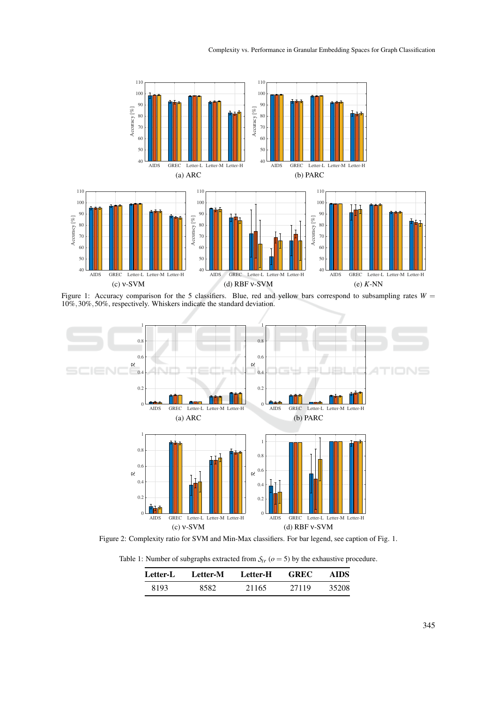

Figure 1: Accuracy comparison for the 5 classifiers. Blue, red and yellow bars correspond to subsampling rates  $W =$ 10%,30%,50%, respectively. Whiskers indicate the standard deviation.



Figure 2: Complexity ratio for SVM and Min-Max classifiers. For bar legend, see caption of Fig. 1.

Table 1: Number of subgraphs extracted from  $S_{tr}$  ( $o = 5$ ) by the exhaustive procedure.

| Letter-L | Letter-M | Letter-H | <b>GREC</b> | AIDS  |
|----------|----------|----------|-------------|-------|
| 8193     | 8582     | 21165    | 27119       | 35208 |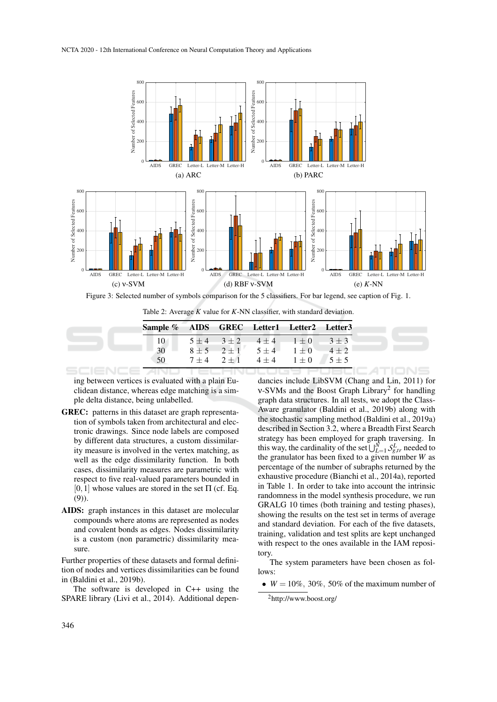

Figure 3: Selected number of symbols comparison for the 5 classifiers. For bar legend, see caption of Fig. 1.

Table 2: Average *K* value for *K*-NN classifier, with standard deviation.

| Sample % AIDS GREC Letter1 Letter2 Letter3 |  |                                                   |  |
|--------------------------------------------|--|---------------------------------------------------|--|
| 10                                         |  | $5 \pm 4$ $3 \pm 2$ $4 \pm 4$ $1 \pm 0$ $3 \pm 3$ |  |
| $30 -$                                     |  | $8 \pm 5$ $2 \pm 1$ $5 \pm 4$ $1 \pm 0$ $4 \pm 2$ |  |
| 50                                         |  | $7 \pm 4$ $2 \pm 1$ $4 \pm 4$ $1 \pm 0$ $5 \pm 5$ |  |

ing between vertices is evaluated with a plain Euclidean distance, whereas edge matching is a simple delta distance, being unlabelled.

- GREC: patterns in this dataset are graph representation of symbols taken from architectural and electronic drawings. Since node labels are composed by different data structures, a custom dissimilarity measure is involved in the vertex matching, as well as the edge dissimilarity function. In both cases, dissimilarity measures are parametric with respect to five real-valued parameters bounded in  $[0,1]$  whose values are stored in the set  $\Pi$  (cf. Eq. (9)).
- AIDS: graph instances in this dataset are molecular compounds where atoms are represented as nodes and covalent bonds as edges. Nodes dissimilarity is a custom (non parametric) dissimilarity measure.

Further properties of these datasets and formal definition of nodes and vertices dissimilarities can be found in (Baldini et al., 2019b).

The software is developed in C++ using the SPARE library (Livi et al., 2014). Additional dependancies include LibSVM (Chang and Lin, 2011) for v-SVMs and the Boost Graph Library<sup>2</sup> for handling graph data structures. In all tests, we adopt the Class-Aware granulator (Baldini et al., 2019b) along with the stochastic sampling method (Baldini et al., 2019a) described in Section 3.2, where a Breadth First Search strategy has been employed for graph traversing. In this way, the cardinality of the set  $\bigcup_{L=1}^{N} S_{g,tr}^{L}$  needed to the granulator has been fixed to a given number *W* as percentage of the number of subraphs returned by the exhaustive procedure (Bianchi et al., 2014a), reported in Table 1. In order to take into account the intrinsic randomness in the model synthesis procedure, we run GRALG 10 times (both training and testing phases), showing the results on the test set in terms of average and standard deviation. For each of the five datasets, training, validation and test splits are kept unchanged with respect to the ones available in the IAM repository.

The system parameters have been chosen as follows:

•  $W = 10\%$ , 30%, 50% of the maximum number of

 ${}^{2}$ http://www.boost.org/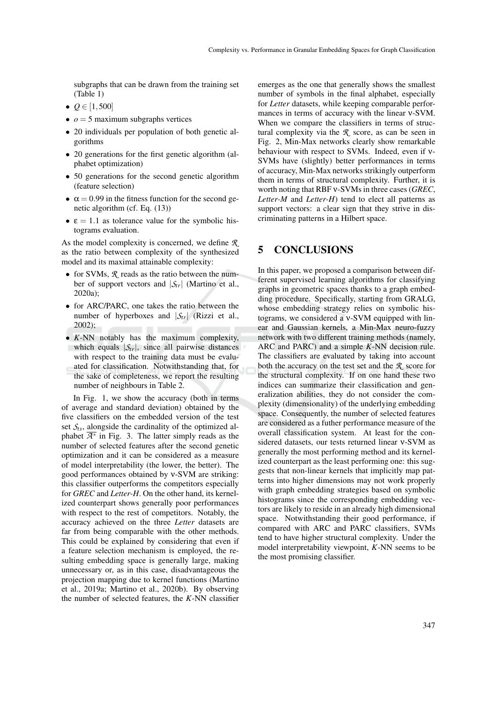subgraphs that can be drawn from the training set (Table 1)

- $Q \in [1, 500]$
- $\bullet$   $o = 5$  maximum subgraphs vertices
- 20 individuals per population of both genetic algorithms
- 20 generations for the first genetic algorithm (alphabet optimization)
- 50 generations for the second genetic algorithm (feature selection)
- $\alpha = 0.99$  in the fitness function for the second genetic algorithm (cf. Eq. (13))
- $\varepsilon = 1.1$  as tolerance value for the symbolic histograms evaluation.

As the model complexity is concerned, we define *R* as the ratio between complexity of the synthesized model and its maximal attainable complexity:

- for SVMs,  $\mathcal{R}$  reads as the ratio between the number of support vectors and  $|\mathcal{S}_{tr}|$  (Martino et al., 2020a);
- for ARC/PARC, one takes the ratio between the number of hyperboxes and  $|S_{tr}|$  (Rizzi et al., 2002);
- *K*-NN notably has the maximum complexity, which equals  $|\mathcal{S}_{tr}|$ , since all pairwise distances with respect to the training data must be evaluated for classification. Notwithstanding that, for the sake of completeness, we report the resulting number of neighbours in Table 2.

In Fig. 1, we show the accuracy (both in terms of average and standard deviation) obtained by the five classifiers on the embedded version of the test set  $S_{ts}$ , alongside the cardinality of the optimized alphabet  $\overline{\mathcal{A}^*}$  in Fig. 3. The latter simply reads as the number of selected features after the second genetic optimization and it can be considered as a measure of model interpretability (the lower, the better). The good performances obtained by ν-SVM are striking: this classifier outperforms the competitors especially for *GREC* and *Letter-H*. On the other hand, its kernelized counterpart shows generally poor performances with respect to the rest of competitors. Notably, the accuracy achieved on the three *Letter* datasets are far from being comparable with the other methods. This could be explained by considering that even if a feature selection mechanism is employed, the resulting embedding space is generally large, making unnecessary or, as in this case, disadvantageous the projection mapping due to kernel functions (Martino et al., 2019a; Martino et al., 2020b). By observing the number of selected features, the *K*-NN classifier emerges as the one that generally shows the smallest number of symbols in the final alphabet, especially for *Letter* datasets, while keeping comparable performances in terms of accuracy with the linear ν-SVM. When we compare the classifiers in terms of structural complexity via the *R* score, as can be seen in Fig. 2, Min-Max networks clearly show remarkable behaviour with respect to SVMs. Indeed, even if ν-SVMs have (slightly) better performances in terms of accuracy, Min-Max networks strikingly outperform them in terms of structural complexity. Further, it is worth noting that RBF ν-SVMs in three cases (*GREC*, *Letter-M* and *Letter-H*) tend to elect all patterns as support vectors: a clear sign that they strive in discriminating patterns in a Hilbert space.

## 5 CONCLUSIONS

In this paper, we proposed a comparison between different supervised learning algorithms for classifying graphs in geometric spaces thanks to a graph embedding procedure. Specifically, starting from GRALG, whose embedding strategy relies on symbolic histograms, we considered a ν-SVM equipped with linear and Gaussian kernels, a Min-Max neuro-fuzzy network with two different training methods (namely, ARC and PARC) and a simple *K*-NN decision rule. The classifiers are evaluated by taking into account both the accuracy on the test set and the *R* score for the structural complexity. If on one hand these two indices can summarize their classification and generalization abilities, they do not consider the complexity (dimensionality) of the underlying embedding space. Consequently, the number of selected features are considered as a futher performance measure of the overall classification system. At least for the considered datasets, our tests returned linear ν-SVM as generally the most performing method and its kernelized counterpart as the least performing one: this suggests that non-linear kernels that implicitly map patterns into higher dimensions may not work properly with graph embedding strategies based on symbolic histograms since the corresponding embedding vectors are likely to reside in an already high dimensional space. Notwithstanding their good performance, if compared with ARC and PARC classifiers, SVMs tend to have higher structural complexity. Under the model interpretability viewpoint, *K*-NN seems to be the most promising classifier.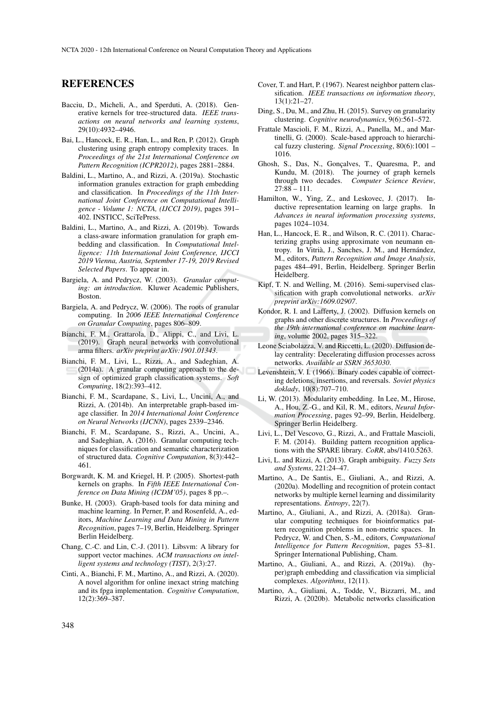## REFERENCES

- Bacciu, D., Micheli, A., and Sperduti, A. (2018). Generative kernels for tree-structured data. *IEEE transactions on neural networks and learning systems*, 29(10):4932–4946.
- Bai, L., Hancock, E. R., Han, L., and Ren, P. (2012). Graph clustering using graph entropy complexity traces. In *Proceedings of the 21st International Conference on Pattern Recognition (ICPR2012)*, pages 2881–2884.
- Baldini, L., Martino, A., and Rizzi, A. (2019a). Stochastic information granules extraction for graph embedding and classification. In *Proceedings of the 11th International Joint Conference on Computational Intelligence - Volume 1: NCTA, (IJCCI 2019)*, pages 391– 402. INSTICC, SciTePress.
- Baldini, L., Martino, A., and Rizzi, A. (2019b). Towards a class-aware information granulation for graph embedding and classification. In *Computational Intelligence: 11th International Joint Conference, IJCCI 2019 Vienna, Austria, September 17-19, 2019 Revised Selected Papers*. To appear in.
- Bargiela, A. and Pedrycz, W. (2003). *Granular computing: an introduction*. Kluwer Academic Publishers, Boston.
- Bargiela, A. and Pedrycz, W. (2006). The roots of granular computing. In *2006 IEEE International Conference on Granular Computing*, pages 806–809.
- Bianchi, F. M., Grattarola, D., Alippi, C., and Livi, L. (2019). Graph neural networks with convolutional arma filters. *arXiv preprint arXiv:1901.01343*.
- Bianchi, F. M., Livi, L., Rizzi, A., and Sadeghian, A. (2014a). A granular computing approach to the design of optimized graph classification systems. *Soft Computing*, 18(2):393–412.
- Bianchi, F. M., Scardapane, S., Livi, L., Uncini, A., and Rizzi, A. (2014b). An interpretable graph-based image classifier. In *2014 International Joint Conference on Neural Networks (IJCNN)*, pages 2339–2346.
- Bianchi, F. M., Scardapane, S., Rizzi, A., Uncini, A., and Sadeghian, A. (2016). Granular computing techniques for classification and semantic characterization of structured data. *Cognitive Computation*, 8(3):442– 461.
- Borgwardt, K. M. and Kriegel, H. P. (2005). Shortest-path kernels on graphs. In *Fifth IEEE International Conference on Data Mining (ICDM'05)*, pages 8 pp.–.
- Bunke, H. (2003). Graph-based tools for data mining and machine learning. In Perner, P. and Rosenfeld, A., editors, *Machine Learning and Data Mining in Pattern Recognition*, pages 7–19, Berlin, Heidelberg. Springer Berlin Heidelberg.
- Chang, C.-C. and Lin, C.-J. (2011). Libsvm: A library for support vector machines. *ACM transactions on intelligent systems and technology (TIST)*, 2(3):27.
- Cinti, A., Bianchi, F. M., Martino, A., and Rizzi, A. (2020). A novel algorithm for online inexact string matching and its fpga implementation. *Cognitive Computation*, 12(2):369–387.
- Cover, T. and Hart, P. (1967). Nearest neighbor pattern classification. *IEEE transactions on information theory*, 13(1):21–27.
- Ding, S., Du, M., and Zhu, H. (2015). Survey on granularity clustering. *Cognitive neurodynamics*, 9(6):561–572.
- Frattale Mascioli, F. M., Rizzi, A., Panella, M., and Martinelli, G. (2000). Scale-based approach to hierarchical fuzzy clustering. *Signal Processing*, 80(6):1001 – 1016.
- Ghosh, S., Das, N., Gonçalves, T., Quaresma, P., and Kundu, M. (2018). The journey of graph kernels through two decades. *Computer Science Review*, 27:88 – 111.
- Hamilton, W., Ying, Z., and Leskovec, J. (2017). Inductive representation learning on large graphs. In *Advances in neural information processing systems*, pages 1024–1034.
- Han, L., Hancock, E. R., and Wilson, R. C. (2011). Characterizing graphs using approximate von neumann entropy. In Vitrià, J., Sanches, J. M., and Hernández, M., editors, *Pattern Recognition and Image Analysis*, pages 484–491, Berlin, Heidelberg. Springer Berlin Heidelberg.
- Kipf, T. N. and Welling, M. (2016). Semi-supervised classification with graph convolutional networks. *arXiv preprint arXiv:1609.02907*.
- Kondor, R. I. and Lafferty, J. (2002). Diffusion kernels on graphs and other discrete structures. In *Proceedings of the 19th international conference on machine learning*, volume 2002, pages 315–322.
- Leone Sciabolazza, V. and Riccetti, L. (2020). Diffusion delay centrality: Decelerating diffusion processes across networks. *Available at SSRN 3653030*.
- Levenshtein, V. I. (1966). Binary codes capable of correcting deletions, insertions, and reversals. *Soviet physics doklady*, 10(8):707–710.
- Li, W. (2013). Modularity embedding. In Lee, M., Hirose, A., Hou, Z.-G., and Kil, R. M., editors, *Neural Information Processing*, pages 92–99, Berlin, Heidelberg. Springer Berlin Heidelberg.
- Livi, L., Del Vescovo, G., Rizzi, A., and Frattale Mascioli, F. M. (2014). Building pattern recognition applications with the SPARE library. *CoRR*, abs/1410.5263.
- Livi, L. and Rizzi, A. (2013). Graph ambiguity. *Fuzzy Sets and Systems*, 221:24–47.
- Martino, A., De Santis, E., Giuliani, A., and Rizzi, A. (2020a). Modelling and recognition of protein contact networks by multiple kernel learning and dissimilarity representations. *Entropy*, 22(7).
- Martino, A., Giuliani, A., and Rizzi, A. (2018a). Granular computing techniques for bioinformatics pattern recognition problems in non-metric spaces. In Pedrycz, W. and Chen, S.-M., editors, *Computational Intelligence for Pattern Recognition*, pages 53–81. Springer International Publishing, Cham.
- Martino, A., Giuliani, A., and Rizzi, A. (2019a). (hyper)graph embedding and classification via simplicial complexes. *Algorithms*, 12(11).
- Martino, A., Giuliani, A., Todde, V., Bizzarri, M., and Rizzi, A. (2020b). Metabolic networks classification